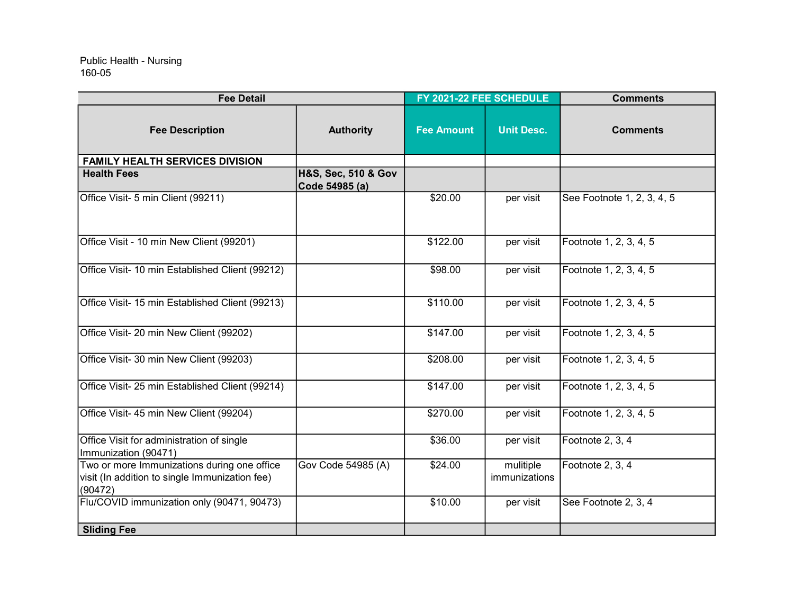## 160-05 Public Health - Nursing

| <b>Fee Detail</b>                                                                                        |                                       | FY 2021-22 FEE SCHEDULE |                            | <b>Comments</b>            |
|----------------------------------------------------------------------------------------------------------|---------------------------------------|-------------------------|----------------------------|----------------------------|
| <b>Fee Description</b>                                                                                   | <b>Authority</b>                      | <b>Fee Amount</b>       | <b>Unit Desc.</b>          | <b>Comments</b>            |
| <b>FAMILY HEALTH SERVICES DIVISION</b>                                                                   |                                       |                         |                            |                            |
| <b>Health Fees</b>                                                                                       | H&S, Sec, 510 & Gov<br>Code 54985 (a) |                         |                            |                            |
| Office Visit- 5 min Client (99211)                                                                       |                                       | \$20.00                 | per visit                  | See Footnote 1, 2, 3, 4, 5 |
| Office Visit - 10 min New Client (99201)                                                                 |                                       | \$122.00                | per visit                  | Footnote 1, 2, 3, 4, 5     |
| Office Visit- 10 min Established Client (99212)                                                          |                                       | \$98.00                 | per visit                  | Footnote 1, 2, 3, 4, 5     |
| Office Visit- 15 min Established Client (99213)                                                          |                                       | \$110.00                | per visit                  | Footnote 1, 2, 3, 4, 5     |
| Office Visit- 20 min New Client (99202)                                                                  |                                       | \$147.00                | per visit                  | Footnote 1, 2, 3, 4, 5     |
| Office Visit- 30 min New Client (99203)                                                                  |                                       | \$208.00                | per visit                  | Footnote 1, 2, 3, 4, 5     |
| Office Visit- 25 min Established Client (99214)                                                          |                                       | \$147.00                | per visit                  | Footnote 1, 2, 3, 4, 5     |
| Office Visit- 45 min New Client (99204)                                                                  |                                       | \$270.00                | per visit                  | Footnote 1, 2, 3, 4, 5     |
| Office Visit for administration of single<br>Immunization (90471)                                        |                                       | \$36.00                 | per visit                  | Footnote 2, 3, 4           |
| Two or more Immunizations during one office<br>visit (In addition to single Immunization fee)<br>(90472) | Gov Code 54985 (A)                    | \$24.00                 | mulitiple<br>immunizations | Footnote 2, 3, 4           |
| Flu/COVID immunization only (90471, 90473)                                                               |                                       | \$10.00                 | per visit                  | See Footnote 2, 3, 4       |
| <b>Sliding Fee</b>                                                                                       |                                       |                         |                            |                            |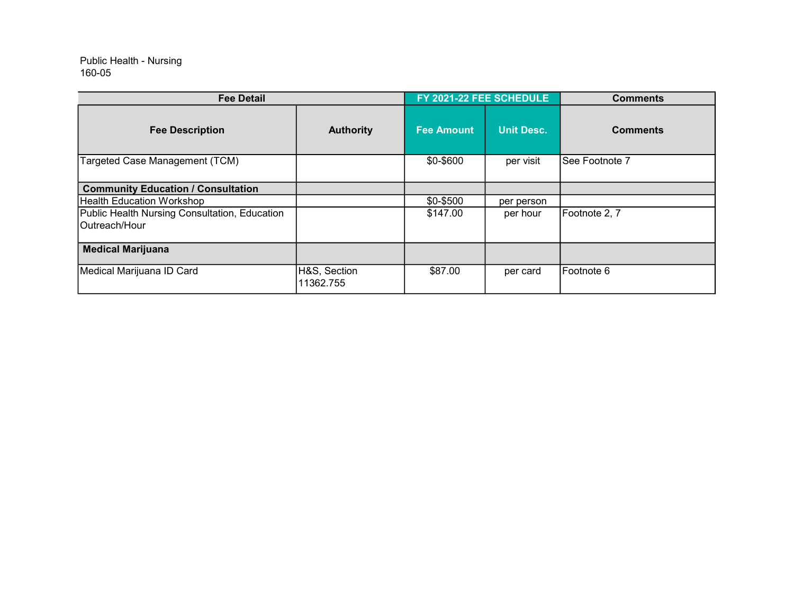## 160-05 Public Health - Nursing

| <b>Fee Detail</b>                                               |                           | FY 2021-22 FEE SCHEDULE |                   | <b>Comments</b> |
|-----------------------------------------------------------------|---------------------------|-------------------------|-------------------|-----------------|
| <b>Fee Description</b>                                          | <b>Authority</b>          | <b>Fee Amount</b>       | <b>Unit Desc.</b> | <b>Comments</b> |
| Targeted Case Management (TCM)                                  |                           | \$0-\$600               | per visit         | See Footnote 7  |
| <b>Community Education / Consultation</b>                       |                           |                         |                   |                 |
| Health Education Workshop                                       |                           | \$0-\$500               | per person        |                 |
| Public Health Nursing Consultation, Education<br>IOutreach/Hour |                           | \$147.00                | per hour          | Footnote 2, 7   |
| <b>Medical Marijuana</b>                                        |                           |                         |                   |                 |
| Medical Marijuana ID Card                                       | H&S, Section<br>11362.755 | \$87.00                 | per card          | Footnote 6      |